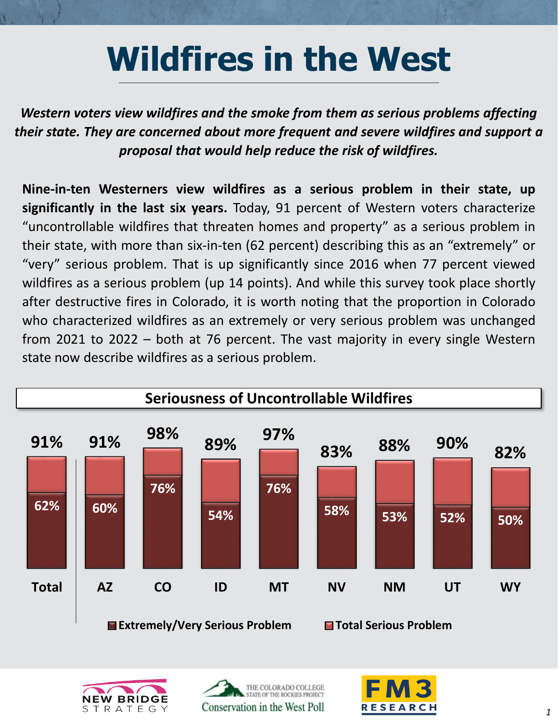## **Wildfires in the West**

*Western voters view wildfires and the smoke from them as serious problems affecting their state. They are concerned about more frequent and severe wildfires and support a proposal that would help reduce the risk of wildfires.*

**Nine-in-ten Westerners view wildfires as a serious problem in their state, up significantly in the last six years.** Today, 91 percent of Western voters characterize "uncontrollable wildfires that threaten homes and property" as a serious problem in their state, with more than six-in-ten (62 percent) describing this as an "extremely" or "very" serious problem. That is up significantly since 2016 when 77 percent viewed wildfires as a serious problem (up 14 points). And while this survey took place shortly after destructive fires in Colorado, it is worth noting that the proportion in Colorado who characterized wildfires as an extremely or very serious problem was unchanged from 2021 to 2022 – both at 76 percent. The vast majority in every single Western state now describe wildfires as a serious problem.







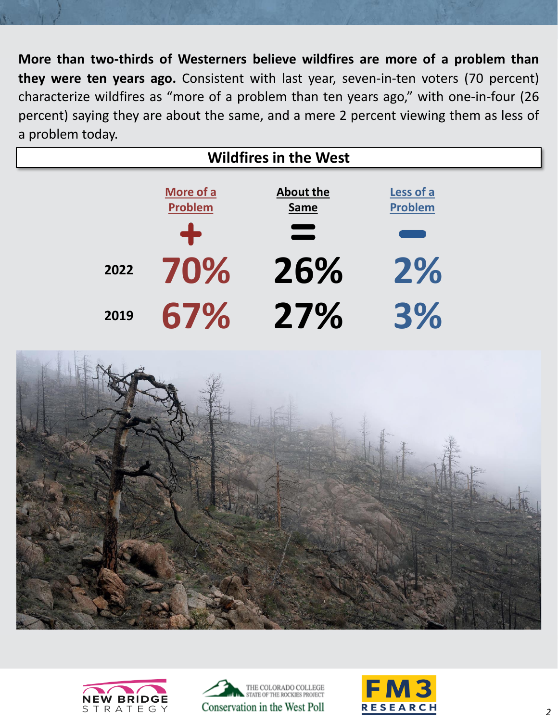**More than two-thirds of Westerners believe wildfires are more of a problem than they were ten years ago.** Consistent with last year, seven-in-ten voters (70 percent) characterize wildfires as "more of a problem than ten years ago," with one-in-four (26 percent) saying they are about the same, and a mere 2 percent viewing them as less of a problem today.

| <b>Wildfires in the West</b> |                      |                          |                             |
|------------------------------|----------------------|--------------------------|-----------------------------|
|                              | More of a<br>Problem | About the<br><b>Same</b> | Less of a<br><b>Problem</b> |
|                              | ╋                    | $\equiv$                 |                             |
| 2022                         | 70%                  | 26%                      | 2%                          |
| 2019                         | 67%                  | 27%                      | 3%                          |







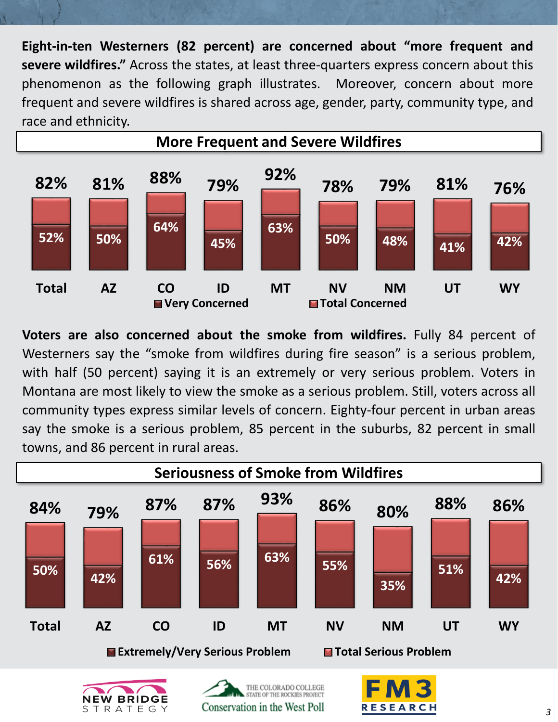**Eight-in-ten Westerners (82 percent) are concerned about "more frequent and severe wildfires."** Across the states, at least three-quarters express concern about this phenomenon as the following graph illustrates. Moreover, concern about more frequent and severe wildfires is shared across age, gender, party, community type, and race and ethnicity.



**Voters are also concerned about the smoke from wildfires.** Fully 84 percent of Westerners say the "smoke from wildfires during fire season" is a serious problem, with half (50 percent) saying it is an extremely or very serious problem. Voters in Montana are most likely to view the smoke as a serious problem. Still, voters across all community types express similar levels of concern. Eighty-four percent in urban areas say the smoke is a serious problem, 85 percent in the suburbs, 82 percent in small towns, and 86 percent in rural areas.